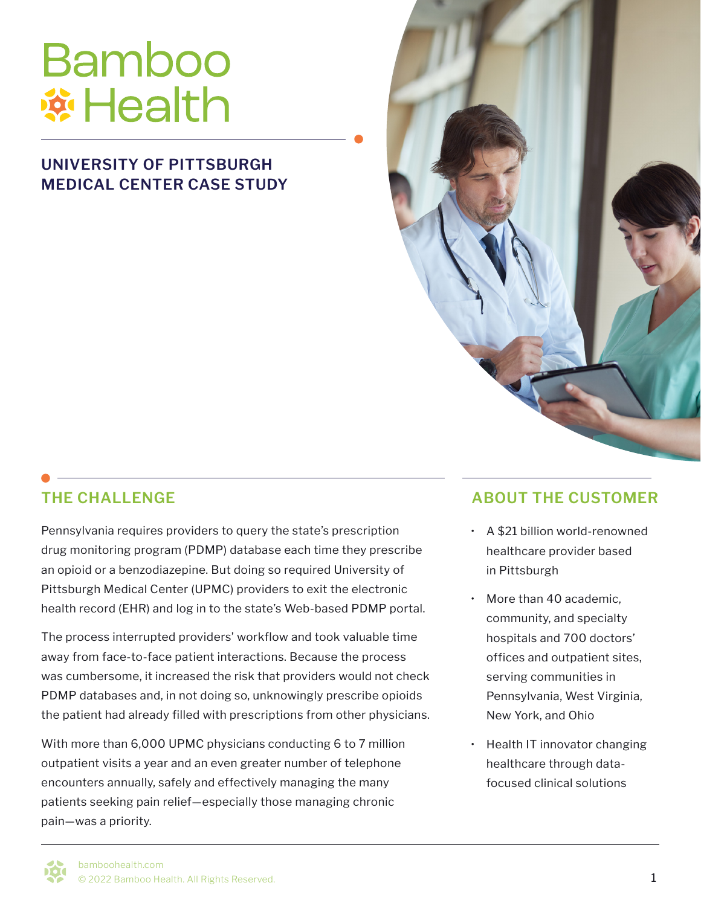# **Bamboo ※Health**

## **UNIVERSITY OF PITTSBURGH MEDICAL CENTER CASE STUDY**



Pennsylvania requires providers to query the state's prescription drug monitoring program (PDMP) database each time they prescribe an opioid or a benzodiazepine. But doing so required University of Pittsburgh Medical Center (UPMC) providers to exit the electronic health record (EHR) and log in to the state's Web-based PDMP portal.

The process interrupted providers' workflow and took valuable time away from face-to-face patient interactions. Because the process was cumbersome, it increased the risk that providers would not check PDMP databases and, in not doing so, unknowingly prescribe opioids the patient had already filled with prescriptions from other physicians.

With more than 6,000 UPMC physicians conducting 6 to 7 million outpatient visits a year and an even greater number of telephone encounters annually, safely and effectively managing the many patients seeking pain relief—especially those managing chronic pain—was a priority.

# **THE CHALLENGE ABOUT THE CUSTOMER**

- A \$21 billion world-renowned healthcare provider based in Pittsburgh
- More than 40 academic, community, and specialty hospitals and 700 doctors' offices and outpatient sites, serving communities in Pennsylvania, West Virginia, New York, and Ohio
- Health IT innovator changing healthcare through datafocused clinical solutions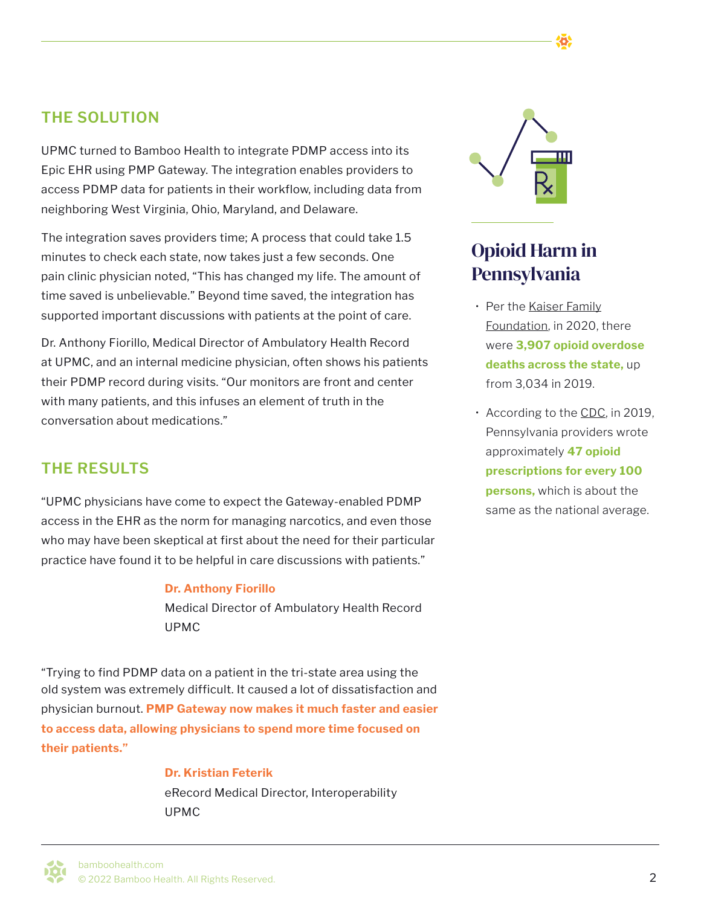UPMC turned to Bamboo Health to integrate PDMP access into its Epic EHR using PMP Gateway. The integration enables providers to access PDMP data for patients in their workflow, including data from neighboring West Virginia, Ohio, Maryland, and Delaware.

The integration saves providers time; A process that could take 1.5 minutes to check each state, now takes just a few seconds. One pain clinic physician noted, "This has changed my life. The amount of time saved is unbelievable." Beyond time saved, the integration has supported important discussions with patients at the point of care.

Dr. Anthony Fiorillo, Medical Director of Ambulatory Health Record at UPMC, and an internal medicine physician, often shows his patients their PDMP record during visits. "Our monitors are front and center with many patients, and this infuses an element of truth in the conversation about medications."

## **THE RESULTS**

"UPMC physicians have come to expect the Gateway-enabled PDMP access in the EHR as the norm for managing narcotics, and even those who may have been skeptical at first about the need for their particular practice have found it to be helpful in care discussions with patients."

### **Dr. Anthony Fiorillo**

Medical Director of Ambulatory Health Record UPMC

"Trying to find PDMP data on a patient in the tri-state area using the old system was extremely difficult. It caused a lot of dissatisfaction and physician burnout. **PMP Gateway now makes it much faster and easier to access data, allowing physicians to spend more time focused on their patients."**

### **Dr. Kristian Feterik**

eRecord Medical Director, Interoperability UPMC



# Opioid Harm in Pennsylvania

- Per the [Kaiser Family](https://www.kff.org/other/state-indicator/opioid-overdose-deaths/?currentTimeframe=1&sortModel=%7B%22colId%22:%22Location%22,%22sort%22:%22asc%22%7D) [Foundation,](https://www.kff.org/other/state-indicator/opioid-overdose-deaths/?currentTimeframe=1&sortModel=%7B%22colId%22:%22Location%22,%22sort%22:%22asc%22%7D) in 2020, there were **3,907 opioid overdose deaths across the state,** up from 3,034 in 2019.
- According to the [CDC](https://www.cdc.gov/drugoverdose/rxrate-maps/state2019.html), in 2019, Pennsylvania providers wrote approximately **47 opioid prescriptions for every 100 persons,** which is about the same as the national average.